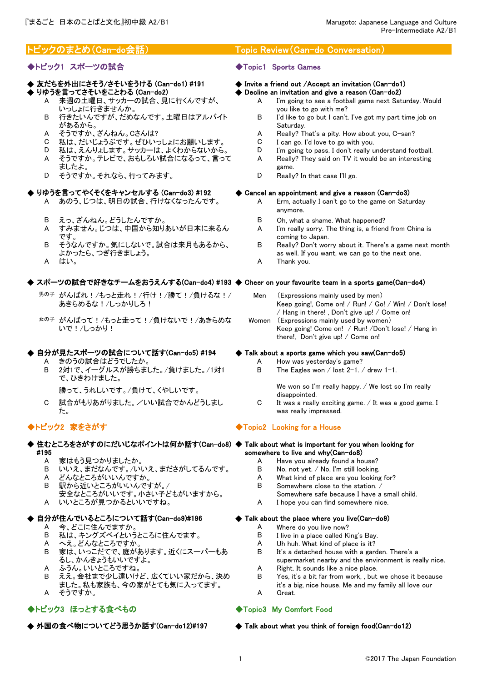# ◆トピック1 スポーツの試合 → → → → → Topic1 Sports Games

- ◆ りゆうを言ってさそいをことわる (Can-do2) A 来週の土曜日、サッカーの試合、見に行くんですが、 いっしょに行きませんか。
	- B 行きたいんですが、だめなんです。土曜日はアルバイト があるから。
	-
	- C 私は、だいじょうぶです。ぜひいっしょにお願いします。 C I can go. I'd love to go with you.<br>D 私は、えんりょします。サッカーは、よくわからないから。 D I'm going to pass. I don't really u
	- D 私は、えんりょします。サッカーは、よくわからないから。 D I'm going to pass. I don't really understand football.
	- A そうですか。テレビで、おもしろい試合になるって、言って ましたよ。
	- D そうですか。それなら、行ってみます。  $\Box$  B Really? In that case I'll go.

# りゆうを言ってやくそくをキャンセルする (Can-do3) #192

- A あのう、じつは、明日の試合、行けなくなったんです。 A Erm, actually I can't go to the game on Saturday
- 
- A すみません。じつは、中国から知りあいが日本に来るん です。
- B そうなんですか。気にしないで。試合は来月もあるから、 よかったら、つぎ行きましょう。
- 

# ◆ スポーツの試合で好きなチームをおうえんする(Can-do4) #193 ◆ Cheer on your favourite team in a sports game(Can-do4)

- 男の子 がんばれ!/もっと走れ!/行け!/勝て!/負けるな!/ あきらめるな!/しっかりしろ!
- 女の子 がんばって!/もっと走って!/負けないで!/あきらめな いで!/しっかり!

# ◆ 自分が見たスポーツの試合について話す(Can-do5) #194 ◆ Talk about a sports game which you saw(Can-do5)

- 
- B 2対1で、イーグルスが勝ちました。/負けました。/1対1 で、ひきわけました。
	-
- C 試合がもりあがりました。/いい試合でかんどうしまし た。

- ◆ 住むところをさがすのにだいじなポイントは何か話す(Can-do8) ◆ Talk about what is important for you when looking for #195
	-
	- B いいえ、まだなんです。/いいえ、まださがしてるんです。 B No, not yet. / No, I'm still looking.
	-
	-
	- 安全なところがいいです。小さい子どもがいますから。 A いいところが見つかるといいですね。 A I hope you can find somewhere nice.

# ◆ 自分が住んでいるところについて話す(Can-do9)#196 ◆ Talk about the place where you live(Can-do9)

- 
- B 私は、キングズベイというところに住んでます。 B I live in a place called King's Bay.
- 
- B 家は、いっこだてで、庭があります。近くにスーパーもあ るし、かんきょうもいいですよ。
- 
- B ええ。会社まで少し遠いけど、広くていい家だから、決め
- ました。私も家族も、今の家がとても気に入ってます。
- A そうですか。 A Great.

# ◆トピック3 ほっとする食べもの ◆Topic3 My Comfort Food

◆ 外国の食べ物についてどう思うか話す(Can-do12)#197

# トピックのまとめ(Can-do会話) Topic Review(Can-do Conversation)

# ◆ 友だちを外出にさそう/さそいをうける (Can-do1) #191 ◆ Invite a friend out /Accept an invitation (Can-do1)

- $\blacklozenge$  Decline an invitation and give a reason (Can-do2)
	- A I'm going to see a football game next Saturday. Would you like to go with me?
	- B I'd like to go but I can't. I've got my part time job on Saturday.
- A そうですか、ざんねん。Cさんは? A Really? That's a pity. How about you, C-san?<br>C 私は、だいじょうぶです。ぜひいっしょにお願いします。 C I can go. I'd love to go with you.
	-
	- A Really? They said on TV it would be an interesting
	- game.
	-

### $\blacktriangleright$  Cancel an appointment and give a reason (Can-do3)

- anymore.
- B えっ、ざんねん。どうしたんですか。 B Oh, what a shame. What happened?
	- A I'm really sorry. The thing is, a friend from China is coming to Japan.
	- B Really? Don't worry about it. There's a game next month as well. If you want, we can go to the next one.
- A はい。 インター・コンピュータ A Thank you.

- Men (Expressions mainly used by men) Keep going!, Come on! / Run! / Go! / Win! / Don't lose! / Hang in there! , Don't give up! / Come on! Women (Expressions mainly used by women)
- Keep going! Come on! / Run! /Don't lose! / Hang in there!, Don't give up! / Come on!

- A きのうの試合はどうでしたか。<br>B 2対1で、イーグルスが勝ちました。/負けました。/1対1 B The Fagles won / lost 2-1 。
	- The Eagles won / lost  $2-1$ . / drew 1-1.

勝って、うれしいです。/負けて、くやしいです。 We won so I'm really happy. / We lost so I'm really disappointed.

C It was a really exciting game.  $/$  It was a good game. I was really impressed.

# ◆トピック2 家をさがす ◆Topic2 Looking for a House

# somewhere to live and why(Can-do8)

- A 家はもう見つかりましたか。<br>B いいえ、まだなんです。/いいえ、まださがしてるんです。 B No. not vet. / No. I'm still looking.
	-
- A どんなところがいいんですか。 A What kind of place are you looking for?
- B 駅から近いところがいいんですが。/ B Somewhere close to the station. /<br>安全なところがいいです。 小さい子どもがいますから。 Somewhere safe because I have a small child.
	-
	-

- A 今、どこに住んでますか。 A Where do you live now?
	-
- A へえ。どんなところですか。 A Uh huh. What kind of place is it?
	- B It's a detached house with a garden. There's a supermarket nearby and the environment is really nice.
- A ふうん。いいところですね。 A Right. It sounds like a nice place.
	- B Yes, it's a bit far from work, , but we chose it because it's a big, nice house. Me and my family all love our
	-

# ◆ Talk about what you think of foreign food(Can-do12)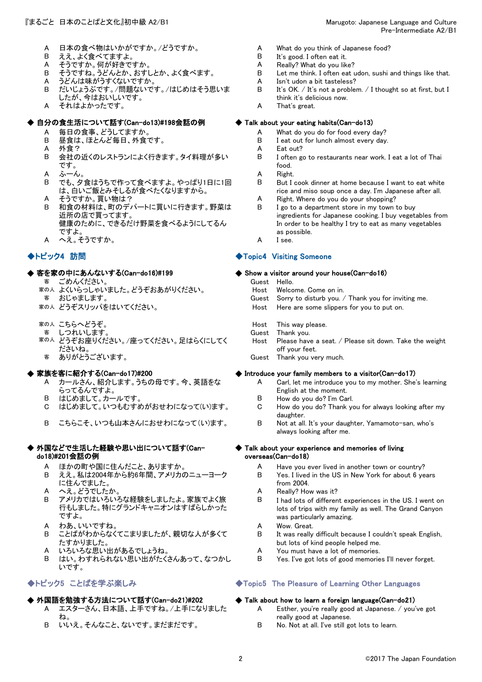- A 日本の食べ物はいかがですか。/どうですか。 A What do you think of Japanese food?<br>B ええ、よく食べてますよ。 B It's good. I often eat it.
- 
- 
- A そうですか。何が好きですか。<br>B そうですね。うどんとか、おすしとか、よく食べます。 B
- A うどんは味がうすくないですか。 A Isn't udon a bit tasteless? B だいじょうぶです。/問題ないです。/はじめはそう思いま
- したが、今はおいしいです。 A それはよかったです。 A That's great.
- 

# ◆ 自分の食生活について話す(Can-do13)#198会話の例 ◆ Talk about your eating habits(Can-do13)

- 
- 
- 
- B 会社の近くのレストランによく行きます。タイ料理が多い です。
- 
- $\mathsf A$  ふーん。  $\qquad \qquad \mathsf A$   $\qquad$   $\mathsf Right$ B でも、夕食はうちで作って食べますよ。やっぱり1日に1回 は、白いご飯とみそしるが食べたくなりますから。<br>そうですか。買い物は?
- 
- A そうですか。買い物は? A Right. Where do you do your shopping?<br>B 和食の材料は、町のデパートに買いに行きます。野菜は B I go to a department store in my town t 和食の材料は、町のデパートに買いに行きます。野菜は 近所の店で買ってます。 健康のために、できるだけ野菜を食べるようにしてるん ですよ。
- A へえ。そうですか。 A I see.

# ◆ 客を家の中にあんないする(Can-do16)#199

- 客 ごめんください。 Guest Hello.
- まの人 よくいらっしゃいました。どうぞおあがりください。 Host Welcome. Come on in.<br>- 客 おじゃまします。 Hotal Sorry to disturb you.
- 
- 
- 
- 客 しつれいします。
- 家の人 どうぞお座りください。/座ってください。足はらくにしてく ださいね。
	-

# ·家族を客に紹介する(Can-do17)#200

- A カールさん、紹介します。うちの母です。今、英語をな らってるんですよ。
- 
- 
- B こちらこそ、いつも山本さんにおせわになって(い)ます。 B Not at all. It's your daughter, Yamamoto-san, who's

### ◆ 外国などで生活した経験や思い出について話す(Can- ◆ do18)#201会話の例

- 
- B ええ。私は2004年から約6年間、アメリカのニューヨーク に住んでました。
- 
- B アメリカではいろいろな経験をしましたよ。家族でよく旅 行もしました。特にグランドキャニオンはすばらしかった ですよ。
- A わあ、いいですね。 <br>
A Wow. Great.
- B ことばがわからなくてこまりましたが、親切な人が多くて たすかりました。
- A いろいろな思い出があるでしょうね。 インタン A You must have a lot of memories.
- B はい。わすれられない思い出がたくさんあって、なつかし いです。

# ◆ 外国語を勉強する方法について話す(Can-do21)#202

- A エスターさん、日本語、上手ですね。/上手になりました ね。
- B いいえ。そんなこと、ないです。まだまだです。 B No. Not at all. I've still got lots to learn.
- 
- B ええ、よく食べてますよ。 B It's good. I often eat it.
	-
	- Let me think. I often eat udon, sushi and things like that.
	-
	- B It's OK. / It's not a problem. / I thought so at first, but I think it's delicious now.
	-

- A 毎日の食事、どうしてますか。 <br>
A What do you do for food every day?
- B 昼食は、ほとんど毎日、外食です。 B I eat out for lunch almost every day.
- A 外食? A Eat out?
	- B I often go to restaurants near work. I eat a lot of Thai food.<br>Right.
	-
	- B But I cook dinner at home because I want to eat white rice and miso soup once a day. I'm Japanese after all.
	-
	- I go to a department store in my town to buy ingredients for Japanese cooking. I buy vegetables from In order to be healthy I try to eat as many vegetables as possible.
	-

# ◆トピック4 訪問 ◆Topic4 Visiting Someone

### $\blacklozenge$  Show a visitor around your house(Can-do16)

- -
	- Sorry to disturb you. / Thank you for inviting me.
- 家の人 どうぞスリッパをはいてください。 Host Here are some slippers for you to put on.
- 家の人 こちらへどうぞ。 インディング しょうしゃ Host This way please.<br>- 客のしつれいします。 インディング しょうしゃ Guest Thank you.
	-
	- Host Please have a seat. / Please sit down. Take the weight off your feet.
	- 客 ありがとうございます。 Guest Thank you very much.

# $\blacklozenge$  Introduce your family members to a visitor(Can-do17)

- A Carl, let me introduce you to my mother. She's learning English at the moment.
- B はじめまして。カールです。 B How do you do? I'm Carl.
- C はじめまして。いつもむすめがおせわになって(い)ます。 C How do you do? Thank you for always looking after my daughter.
	- always looking after me.

# Talk about your experience and memories of living overseas(Can-do18)

- A ほかの町や国に住んだこと、ありますか。 <br>
A Have you ever lived in another town or country?
	- B Yes. I lived in the US in New York for about 6 years from 2004.
- A へえ。どうでしたか。 A Really? How was it?
	- B I had lots of different experiences in the US. I went on lots of trips with my family as well. The Grand Canyon was particularly amazing.
	-
	- B It was really difficult because I couldn't speak English, but lots of kind people helped me.
	-
	- B Yes. I've got lots of good memories I'll never forget.

# ◆トピック5 ことばを学ぶ楽しみ ◆Topic5 The Pleasure of Learning Other Languages

# $\blacklozenge$  Talk about how to learn a foreign language(Can-do21)

- A Esther, you're really good at Japanese. / you've got really good at Japanese.
-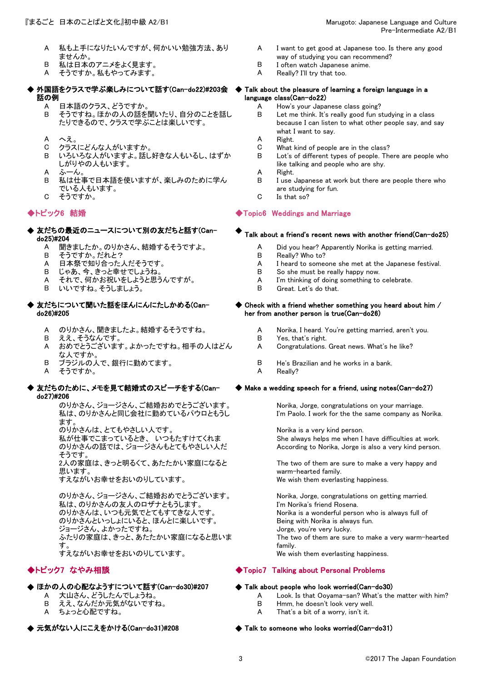- A 私も上手になりたいんですが、何かいい勉強方法、あり ませんか。
- B 私は日本のアニメをよく見ます。 B I often watch Japanese anime.
- A そうですか。私もやってみます。 A Really that too...
- ◆ 外国語をクラスで学ぶ楽しみについて話す(Can-do22)#203会 ◆ 話の例
	-
	- A 日本語のクラス、どうですか。<br>B そうですね。ほかの人の話を聞いたり、自分のことを話し. B Let me think. It's really good fun s そうですね。ほかの人の話を聞いたり、自分のことを話し たりできるので、クラスで学ぶことは楽しいです。
	- A へえ。 A Right.
	- C クラスにどんな人がいますか。 C What kind of people are in the class?
	- B いろいろな人がいますよ。話し好きな人もいるし、はずか しがりやの人もいます。
	-
	- B 私は仕事で日本語を使いますが、楽しみのために学ん でいる人もいます。
	- C そうですか。 C Is that so?

- ◆ 友だちの最近のニュースについて別の友だちと話す(Can- ◆ 及にらの最近の二ユースについて別の及にらと話9(Can− → Talk about a friend's recent news with another friend(Can−do25)<br>do25)#204
	-
	-
	- B そうですか。だれと? B Really? Who to?
	-
	- それで、何かお祝いをしようと思うんですが。
	- B いいですね。そうしましょう。 B Great. Let's do that.
- ◆ 友だちについて聞いた話をほんにんにたしかめる(Can- ◆ do26)#205
	-
	- B ええ、そうなんです。 B Yes, that's right.
	- A おめでとうございます。よかったですね。相手の人はどん な人ですか。
	- B ブラジルの人で、銀行に勤めてます。 B He's Brazilian and he works in a bank.
	- A そうですか。 インタイム A Really?
- ◆ 友だちのために、メモを見て結婚式のスピーチをする(Can- ◆ do27)#206

のりかさん、ジョージさん、ご結婚おめでとうございます。 Norika, Jorge, congratulations on your marriage. 私は、のりかさんと同じ会社に勤めているパウロともうし ます。

のりかさんは、とてもやさしい人です。 インディング Norika is a very kind person.

のりかさんの話では、ジョージさんもとてもやさしい人だ そうです。

2人の家庭は、きっと明るくて、あたたかい家庭になると 思います。

すえながいお幸せをおいのりしています。 We wish them everlasting happiness.

のりかさん、ジョージさん、ご結婚おめでとうございます。 Norika, Jorge, congratulations on getting married. 私は、のりかさんの友人のロザナともうします。 I'm Norika's friend Rosena. のりかさんは、いつも元気でとてもすてきな人です。 Norika is a wonderful person who is always full of のりかさんといっしょにいると、ほんとに楽しいです。 Being with Norika is always fun. ジョージさん、よかったですね。 ファイン Christian Morge, you're very lucky. ふたりの家庭は、きっと、あたたかい家庭になると思いま す。 すえながいお幸せをおいのりしています。 We wish them everlasting happiness.

# ◆ ほかの人の心配なようすについて話す(Can-do30)#207 → → Talk about people who look worried(Can-do30)

- 
- B ええ、なんだか元気がないですね。 B Hmm, he doesn't look very well.
- 
- ▶ 元気がない人にこえをかける(Can-do31)#208
- A I want to get good at Japanese too. Is there any good
- way of studying you can recommend?<br>I often watch Japanese anime.
- 

### Talk about the pleasure of learning a foreign language in a language class(Can-do22)

- 
- Let me think. It's really good fun studying in a class because I can listen to what other people say, and say what I want to say.<br>Right.
- 
- 
- B Lot's of different types of people. There are people who like talking and people who are shy.
- $\mathsf A$  ふーん。  $\qquad \qquad \mathsf A$   $\qquad$   $\mathsf Right$ 
	- B I use Japanese at work but there are people there who are studying for fun.
	-

# ◆トピック6 結婚 ◆Topic6 Weddings and Marriage

- A 聞きましたか。のりかさん、結婚するそうですよ。 A Did you hear? Apparently Norika is getting married.<br>B <del>そ</del>うですか、だれと?
	-
- A 日本祭で知り合った人だそうです。 <br>
A I heard to someone she met at the Japanese festival.
	-
- B じゃあ、今、きっと幸せでしょうね。 B So she must be really happy now.<br>A それで、何かお祝いをしようと思うんですが。 A I'm thinking of doing something to celebrate.
	-

### $\blacklozenge$  Check with a friend whether something you heard about him / her from another person is true(Can-do26)

- A のりかさん、聞きましたよ。結婚するそうですね。 A Norika, I heard. You're getting married, aren't you.
	-
	- A Congratulations. Great news. What's he like?
	-
	-

### Make a wedding speech for a friend, using notes(Can-do27)

I'm Paolo. I work for the the same company as Norika.

私が仕事でこまっているとき、 いつもたすけてくれま She always helps me when I have difficulties at work. According to Norika, Jorge is also a very kind person.

> The two of them are sure to make a very happy and warm-hearted family.

The two of them are sure to make a very warm-hearted family.

# ◆トピック7 なやみ相談 ◆Topic7 Talking about Personal Problems

- A 大山さん、どうしたんでしょうね。 <br>
A Look. Is that Ooyama-san? What's the matter with him?
	-
- A ちょっと心配ですね。 インプリング A That's a bit of a worry, isn't it.

### $\blacklozenge$  Talk to someone who looks worried(Can-do31)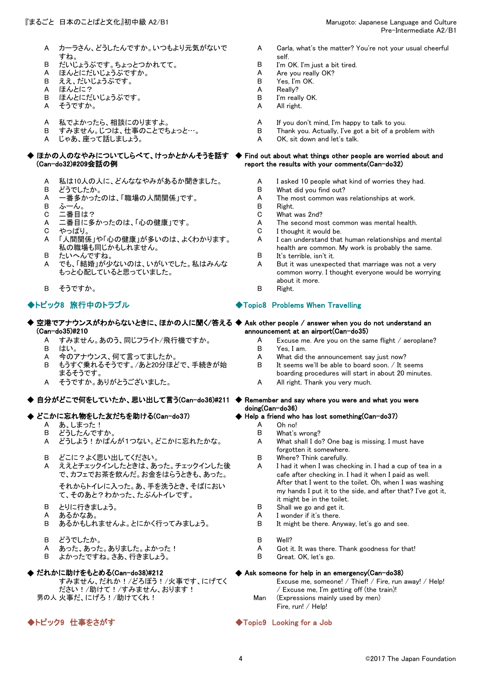- A カーラさん、どうしたんですか。いつもより元気がないで すね。
- B だいじょうぶです。ちょっとつかれてて。 B I'm OK. I'm just a bit tired.
- A ほんとにだいじょうぶですか。 A Are you reall<br>B ええ、だいじょうぶです。 B Yes, I'm OK. B ええ、だいじょうぶです。 B Yes, I'm OK.
- 
- 
- A ほんとに?<br>B ほんとにだいじょうぶです。 A Really?<br>B I'm really OK. ほんとにだいじょうぶです。
- A そうですか。 A All right.
- 
- A 私でよかったら、相談にのりますよ。 A If you don't mind, I'm happy to talk to you.
- じゃあ、座って話しましょう。

### ◆ ほかの人のなやみについてしらべて、けっかとかんそうを話す ◆ Find out about what things other people are worried about and (Can-do32)#209会話の例

- A 私は10人の人に、どんななやみがあるか聞きました。 A I asked 10 people what kind of worries they had.<br>B どうでしたか。 B What did you find out?
- 
- B どうでしたか。 B What did you find out?
- 
- B ふーん。 B Right.
- C 二番目は? C What was 2nd?
- 
- A 「人間関係」や「心の健康」が多いのは、よくわかります。 私の職場も同じかもしれません。
- B たいへんですね。 B It's terrible, isn't it.
- A でも、「結婚」が少ないのは、いがいでした。私はみんな もっと心配していると思っていました。
- B そうですか。 B Right.

### ◆ 空港でアナウンスがわからないときに、ほかの人に聞く/答える ◆ Ask other people / answer when you do not understand an (Can-do35)#210 announcement at an airport(Can-do35)

- 
- 
- 
- B もうすぐ乗れるそうです。/あと20分ほどで、手続きが始 まるそうです。
- 

### ◆ 自分がどこで何をしていたか、思い出して言う(Can-do36)#211 ◆ Remember and say where you were and what you were

# ◆ どこかに忘れ物をした友だちを助ける(Can-do37)

- 
- A あ、しまった!<br>B どうしたんですか。 A Oh no!<br>B どうしたんですか。 どうしたんですか
- A どうしよう!かばんが1つない。どこかに忘れたかな。 A What shall I do? One bag is missing. I must have
- B どこに?よく思い出してください。 B Where? Think carefully.
- A ええとチェックインしたときは、あった。チェックインした後 で、カフェでお茶を飲んだ。お金をはらうときも、あった。

それからトイレに入った。あ、手を洗うとき、そばにおい て、そのあと?わかった、たぶんトイレです。

- 
- 
- B あるかもしれませんよ。とにかく行ってみましょう。 B It might be there. Anyway, let's go and see.
- 
- B どうでしたか。 B Well?
- B よかったですね。さあ、行きましょう。 B Great. OK, let's go.

### ◆ だれかに助けをもとめる(Can-do38)#212

すみません、だれか!/どろぼう!/火事です、にげてく ださい!/助けて!/すみません、おります! 男の人 火事だ、にげろ!/助けてくれ! Man (Expressions mainly used by men)

- A Carla, what's the matter? You're not your usual cheerful self.<br>I'm OK. I'm just a bit tired.
- 
- 
- 
- 
- 
- 
- 
- B すみません。じつは、仕事のことでちょっと…。 B Thank you. Actually, I've got a bit of a problem with
	-

# report the results with your comments(Can-do32)

- 
- 
- The most common was relationships at work.
- 
- 
- A 二番目に多かったのは、「心の健康」です。 A The second most common was mental health.<br>C やっぱり。 C I thought it would be.
- C やっぱり。 C I thought it would be.
	- A I can understand that human relationships and mental health are common. My work is probably the same.<br>It's terrible, isn't it.
	-
	- A But it was unexpected that marriage was not a very common worry. I thought everyone would be worrying about it more.
	-

# ◆トピック8 旅行中のトラブル インタイム → イエット → Topic8 Problems When Travelling

- 
- A すみません。あのう、同じフライト/飛行機ですか。 A Excuse me. Are you on the same flight / aeroplane?
- B はい。 B Yes, I am.
- A 今のアナウンス、何て言ってましたか。 A What did the announcement say just now?<br>B もうすぐ垂れろそうです /あと20分ほどで 手続きが始 B It seems we'll be able to board soon / It s
	- It seems we'll be able to board soon.  $/$  It seems boarding procedures will start in about 20 minutes.
- A そうですか。ありがとうございました。 A All right. Thank you very much.

# doing(Can-do36)

### Help a friend who has lost something(Can-do37)

- 
- 
- forgotten it somewhere.
- 
- A I had it when I was checking in. I had a cup of tea in a cafe after checking in. I had it when I paid as well. After that I went to the toilet. Oh, when I was washing my hands I put it to the side, and after that? I've got it, it might be in the toilet.
- B とりに行きましょう。 B Shall we go and get it.
- A あるかなあ。 A I wonder if it's there.
	-
	-
- A あった、あった。ありました。よかった! <br>
A Got it. It was there. Thank goodness for that!
	-

### $\blacklozenge$  Ask someone for help in an emergency(Can-do38)

Excuse me, someone! / Thief! / Fire, run away! / Help! / Excuse me, I'm getting off (the train)!

Fire, run! / Help!

### ◆トピック9 仕事をさがす ◆Topic9 Looking for a Job